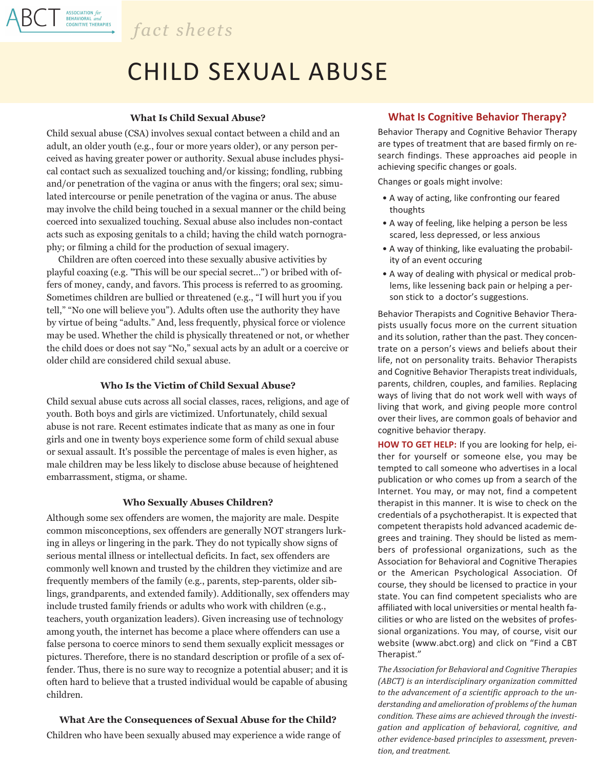

ASSOCIATION for<br>BEHAVIORAL and<br>COGNITIVE THERAPIES

# CHILD SEXUAL ABUSE

#### **What Is Child Sexual Abuse?**

Child sexual abuse (CSA) involves sexual contact between a child and an adult, an older youth (e.g., four or more years older), or any person perceived as having greater power or authority. Sexual abuse includes physical contact such as sexualized touching and/or kissing; fondling, rubbing and/or penetration of the vagina or anus with the fingers; oral sex; simulated intercourse or penile penetration of the vagina or anus. The abuse may involve the child being touched in a sexual manner or the child being coerced into sexualized touching. Sexual abuse also includes non-contact acts such as exposing genitals to a child; having the child watch pornography; or filming a child for the production of sexual imagery.

Children are often coerced into these sexually abusive activities by playful coaxing (e.g. "This will be our special secret...") or bribed with offers of money, candy, and favors. This process is referred to as grooming. Sometimes children are bullied or threatened (e.g., "I will hurt you if you tell," "No one will believe you"). Adults often use the authority they have by virtue of being "adults." And, less frequently, physical force or violence may be used. Whether the child is physically threatened or not, or whether the child does or does not say "No," sexual acts by an adult or a coercive or older child are considered child sexual abuse.

#### **Who Is the Victim of Child Sexual Abuse?**

Child sexual abuse cuts across all social classes, races, religions, and age of youth. Both boys and girls are victimized. Unfortunately, child sexual abuse is not rare. Recent estimates indicate that as many as one in four girls and one in twenty boys experience some form of child sexual abuse or sexual assault. It's possible the percentage of males is even higher, as male children may be less likely to disclose abuse because of heightened embarrassment, stigma, or shame.

#### **Who Sexually Abuses Children?**

Although some sex offenders are women, the majority are male. Despite common misconceptions, sex offenders are generally NOT strangers lurking in alleys or lingering in the park. They do not typically show signs of serious mental illness or intellectual deficits. In fact, sex offenders are commonly well known and trusted by the children they victimize and are frequently members of the family (e.g., parents, step-parents, older siblings, grandparents, and extended family). Additionally, sex offenders may include trusted family friends or adults who work with children (e.g., teachers, youth organization leaders). Given increasing use of technology among youth, the internet has become a place where offenders can use a false persona to coerce minors to send them sexually explicit messages or pictures. Therefore, there is no standard description or profile of a sex offender. Thus, there is no sure way to recognize a potential abuser; and it is often hard to believe that a trusted individual would be capable of abusing children.

# **What Are the Consequences of Sexual Abuse for the Child?**

Children who have been sexually abused may experience a wide range of

## **What Is Cognitive Behavior Therapy?**

Behavior Therapy and Cognitive Behavior Therapy are types of treatment that are based firmly on research findings. These approaches aid people in achieving specific changes or goals.

Changes or goals might involve:

- A way of acting, like confronting our feared thoughts
- A way of feeling, like helping a person be less scared, less depressed, or less anxious
- A way of thinking, like evaluating the probability of an event occuring
- A way of dealing with physical or medical problems, like lessening back pain or helping a person stick to a doctor's suggestions.

Behavior Therapists and Cognitive Behavior Therapists usually focus more on the current situation and its solution, rather than the past. They concentrate on a person's views and beliefs about their life, not on personality traits. Behavior Therapists and Cognitive Behavior Therapists treat individuals, parents, children, couples, and families. Replacing ways of living that do not work well with ways of living that work, and giving people more control over their lives, are common goals of behavior and cognitive behavior therapy.

**HOW TO GET HELP:** If you are looking for help, either for yourself or someone else, you may be tempted to call someone who advertises in a local publication or who comes up from a search of the Internet. You may, or may not, find a competent therapist in this manner. It is wise to check on the credentials of a psychotherapist. It is expected that competent therapists hold advanced academic degrees and training. They should be listed as members of professional organizations, such as the Association for Behavioral and Cognitive Therapies or the American Psychological Association. Of course, they should be licensed to practice in your state. You can find competent specialists who are affiliated with local universities or mental health facilities or who are listed on the websites of professional organizations. You may, of course, visit our website (www.abct.org) and click on "Find a CBT Therapist."

*The Association for Behavioral and Cognitive Therapies (ABCT) is an interdisciplinary organization committed to the advancement of a scientific approach to the understanding and amelioration of problems of the human condition. These aims are achieved through the investigation and application of behavioral, cognitive, and other evidence-based principles to assessment, prevention, and treatment.*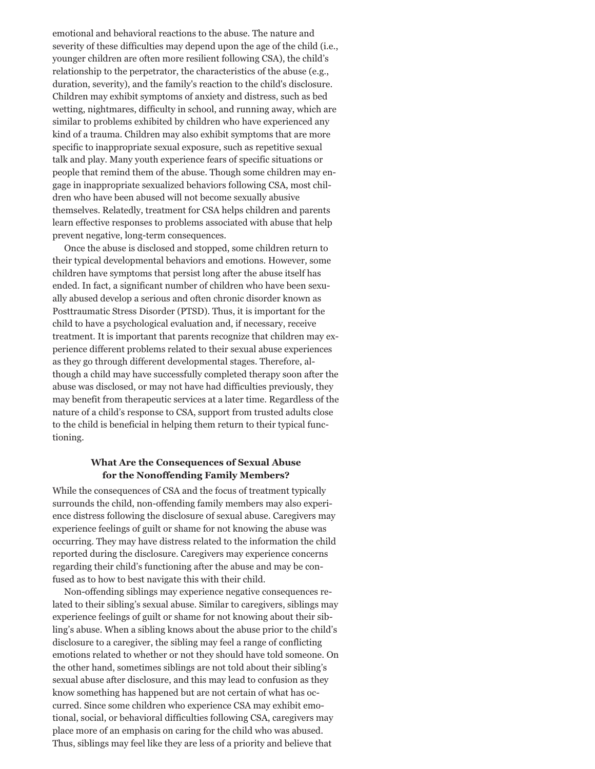emotional and behavioral reactions to the abuse. The nature and severity of these difficulties may depend upon the age of the child (i.e., younger children are often more resilient following CSA), the child's relationship to the perpetrator, the characteristics of the abuse (e.g., duration, severity), and the family's reaction to the child's disclosure. Children may exhibit symptoms of anxiety and distress, such as bed wetting, nightmares, difficulty in school, and running away, which are similar to problems exhibited by children who have experienced any kind of a trauma. Children may also exhibit symptoms that are more specific to inappropriate sexual exposure, such as repetitive sexual talk and play. Many youth experience fears of specific situations or people that remind them of the abuse. Though some children may engage in inappropriate sexualized behaviors following CSA, most children who have been abused will not become sexually abusive themselves. Relatedly, treatment for CSA helps children and parents learn effective responses to problems associated with abuse that help prevent negative, long-term consequences.

Once the abuse is disclosed and stopped, some children return to their typical developmental behaviors and emotions. However, some children have symptoms that persist long after the abuse itself has ended. In fact, a significant number of children who have been sexually abused develop a serious and often chronic disorder known as Posttraumatic Stress Disorder (PTSD). Thus, it is important for the child to have a psychological evaluation and, if necessary, receive treatment. It is important that parents recognize that children may experience different problems related to their sexual abuse experiences as they go through different developmental stages. Therefore, although a child may have successfully completed therapy soon after the abuse was disclosed, or may not have had difficulties previously, they may benefit from therapeutic services at a later time. Regardless of the nature of a child's response to CSA, support from trusted adults close to the child is beneficial in helping them return to their typical functioning.

## **What Are the Consequences of Sexual Abuse for the Nonoffending Family Members?**

While the consequences of CSA and the focus of treatment typically surrounds the child, non-offending family members may also experience distress following the disclosure 0f sexual abuse. Caregivers may experience feelings of guilt or shame for not knowing the abuse was occurring. They may have distress related to the information the child reported during the disclosure. Caregivers may experience concerns regarding their child's functioning after the abuse and may be confused as to how to best navigate this with their child.

Non-offending siblings may experience negative consequences related to their sibling's sexual abuse. Similar to caregivers, siblings may experience feelings of guilt or shame for not knowing about their sibling's abuse. When a sibling knows about the abuse prior to the child's disclosure to a caregiver, the sibling may feel a range of conflicting emotions related to whether or not they should have told someone. On the other hand, sometimes siblings are not told about their sibling's sexual abuse after disclosure, and this may lead to confusion as they know something has happened but are not certain of what has occurred. Since some children who experience CSA may exhibit emotional, social, or behavioral difficulties following CSA, caregivers may place more of an emphasis on caring for the child who was abused. Thus, siblings may feel like they are less of a priority and believe that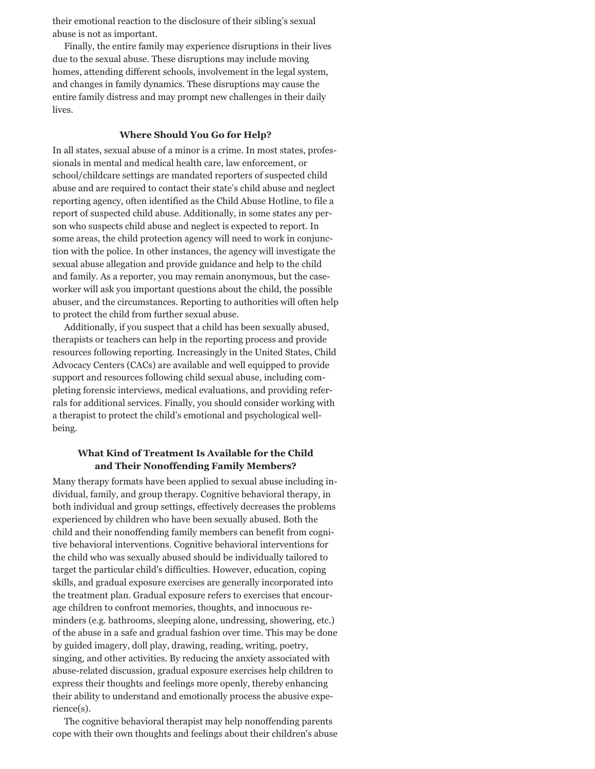their emotional reaction to the disclosure of their sibling's sexual abuse is not as important.

Finally, the entire family may experience disruptions in their lives due to the sexual abuse. These disruptions may include moving homes, attending different schools, involvement in the legal system, and changes in family dynamics. These disruptions may cause the entire family distress and may prompt new challenges in their daily lives.

#### **Where Should You Go for Help?**

In all states, sexual abuse of a minor is a crime. In most states, professionals in mental and medical health care, law enforcement, or school/childcare settings are mandated reporters of suspected child abuse and are required to contact their state's child abuse and neglect reporting agency, often identified as the Child Abuse Hotline, to file a report of suspected child abuse. Additionally, in some states any person who suspects child abuse and neglect is expected to report. In some areas, the child protection agency will need to work in conjunction with the police. In other instances, the agency will investigate the sexual abuse allegation and provide guidance and help to the child and family. As a reporter, you may remain anonymous, but the caseworker will ask you important questions about the child, the possible abuser, and the circumstances. Reporting to authorities will often help to protect the child from further sexual abuse.

Additionally, if you suspect that a child has been sexually abused, therapists or teachers can help in the reporting process and provide resources following reporting. Increasingly in the United States, Child Advocacy Centers (CACs) are available and well equipped to provide support and resources following child sexual abuse, including completing forensic interviews, medical evaluations, and providing referrals for additional services. Finally, you should consider working with a therapist to protect the child's emotional and psychological wellbeing.

# **What Kind of Treatment Is Available for the Child and Their Nonoffending Family Members?**

Many therapy formats have been applied to sexual abuse including individual, family, and group therapy. Cognitive behavioral therapy, in both individual and group settings, effectively decreases the problems experienced by children who have been sexually abused. Both the child and their nonoffending family members can benefit from cognitive behavioral interventions. Cognitive behavioral interventions for the child who was sexually abused should be individually tailored to target the particular child's difficulties. However, education, coping skills, and gradual exposure exercises are generally incorporated into the treatment plan. Gradual exposure refers to exercises that encourage children to confront memories, thoughts, and innocuous reminders (e.g. bathrooms, sleeping alone, undressing, showering, etc.) of the abuse in a safe and gradual fashion over time. This may be done by guided imagery, doll play, drawing, reading, writing, poetry, singing, and other activities. By reducing the anxiety associated with abuse-related discussion, gradual exposure exercises help children to express their thoughts and feelings more openly, thereby enhancing their ability to understand and emotionally process the abusive experience(s).

The cognitive behavioral therapist may help nonoffending parents cope with their own thoughts and feelings about their children's abuse